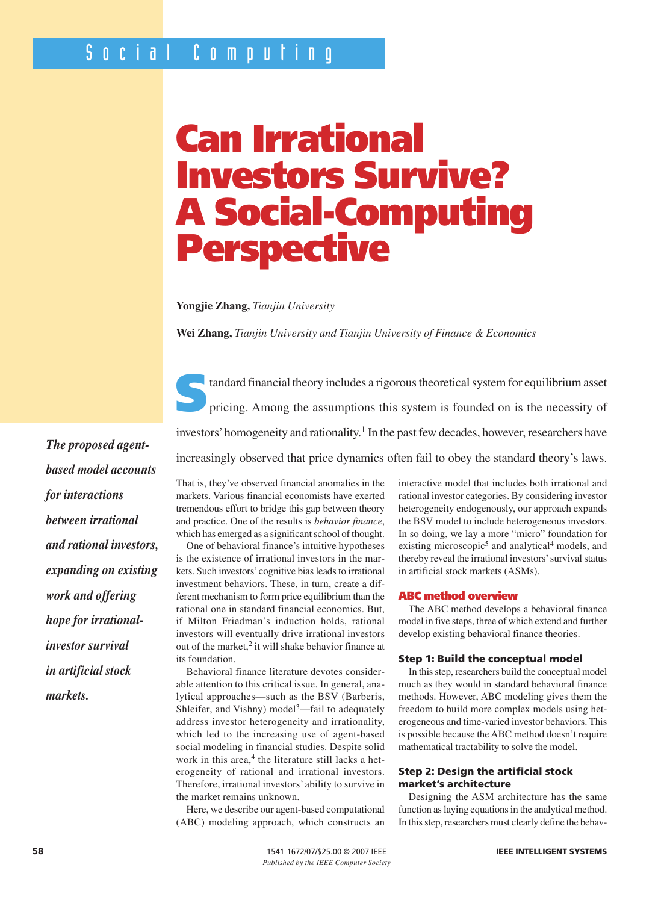# **Can Irrational Investors Survive? A Social-Computing Perspective**

**Yongjie Zhang,** *Tianjin University*

**Wei Zhang,** *Tianjin University and Tianjin University of Finance & Economics*



tandard financial theory includes a rigorous theoretical system for equilibrium asset<br>pricing. Among the assumptions this system is founded on is the necessity of investors' homogeneity and rationality.<sup>1</sup> In the past few decades, however, researchers have increasingly observed that price dynamics often fail to obey the standard theory's laws.

*The proposed agentbased model accounts for interactions between irrational and rational investors, expanding on existing work and offering hope for irrationalinvestor survival in artificial stock markets.*

That is, they've observed financial anomalies in the markets. Various financial economists have exerted tremendous effort to bridge this gap between theory and practice. One of the results is *behavior finance*, which has emerged as a significant school of thought.

One of behavioral finance's intuitive hypotheses is the existence of irrational investors in the markets. Such investors'cognitive bias leads to irrational investment behaviors. These, in turn, create a different mechanism to form price equilibrium than the rational one in standard financial economics. But, if Milton Friedman's induction holds, rational investors will eventually drive irrational investors out of the market,<sup>2</sup> it will shake behavior finance at its foundation.

Behavioral finance literature devotes considerable attention to this critical issue. In general, analytical approaches—such as the BSV (Barberis, Shleifer, and Vishny) model<sup>3</sup>—fail to adequately address investor heterogeneity and irrationality, which led to the increasing use of agent-based social modeling in financial studies. Despite solid work in this area,<sup>4</sup> the literature still lacks a heterogeneity of rational and irrational investors. Therefore, irrational investors' ability to survive in the market remains unknown.

Here, we describe our agent-based computational (ABC) modeling approach, which constructs an interactive model that includes both irrational and rational investor categories. By considering investor heterogeneity endogenously, our approach expands the BSV model to include heterogeneous investors. In so doing, we lay a more "micro" foundation for existing microscopic<sup>5</sup> and analytical<sup>4</sup> models, and thereby reveal the irrational investors'survival status in artificial stock markets (ASMs).

#### **ABC method overview**

The ABC method develops a behavioral finance model in five steps, three of which extend and further develop existing behavioral finance theories.

#### **Step 1: Build the conceptual model**

In this step, researchers build the conceptual model much as they would in standard behavioral finance methods. However, ABC modeling gives them the freedom to build more complex models using heterogeneous and time-varied investor behaviors. This is possible because the ABC method doesn't require mathematical tractability to solve the model.

#### **Step 2: Design the artificial stock market's architecture**

Designing the ASM architecture has the same function as laying equations in the analytical method. In this step, researchers must clearly define the behav-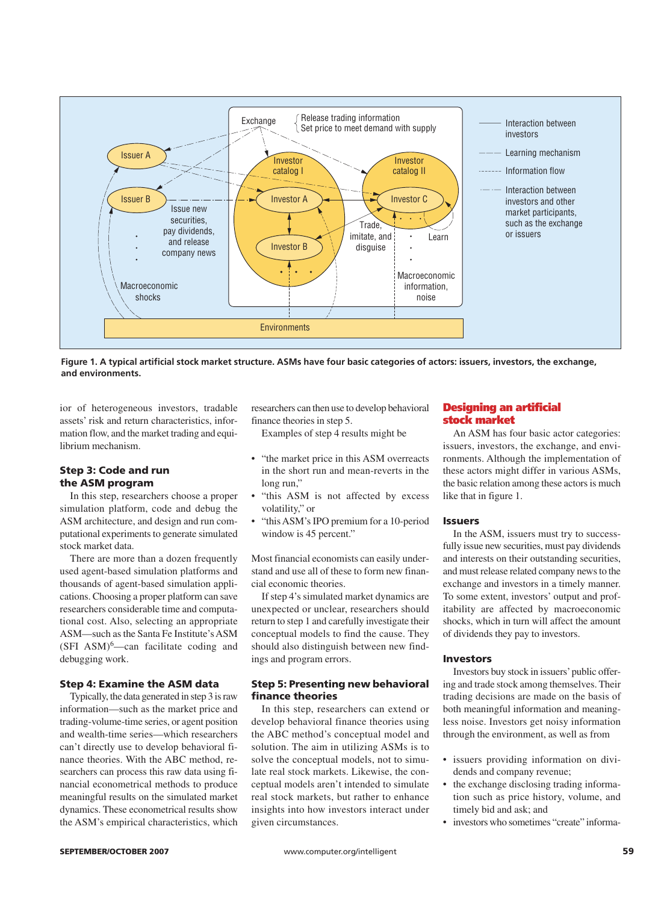

**Figure 1. A typical artificial stock market structure. ASMs have four basic categories of actors: issuers, investors, the exchange, and environments.** 

ior of heterogeneous investors, tradable assets' risk and return characteristics, information flow, and the market trading and equilibrium mechanism.

#### **Step 3: Code and run the ASM program**

In this step, researchers choose a proper simulation platform, code and debug the ASM architecture, and design and run computational experiments to generate simulated stock market data.

There are more than a dozen frequently used agent-based simulation platforms and thousands of agent-based simulation applications. Choosing a proper platform can save researchers considerable time and computational cost. Also, selecting an appropriate ASM—such as the Santa Fe Institute's ASM  $(SFI ASM)<sup>6</sup>$ -can facilitate coding and debugging work.

#### **Step 4: Examine the ASM data**

Typically, the data generated in step 3 is raw information—such as the market price and trading-volume-time series, or agent position and wealth-time series—which researchers can't directly use to develop behavioral finance theories. With the ABC method, researchers can process this raw data using financial econometrical methods to produce meaningful results on the simulated market dynamics. These econometrical results show the ASM's empirical characteristics, which researchers can then use to develop behavioral finance theories in step 5.

Examples of step 4 results might be

- "the market price in this ASM overreacts in the short run and mean-reverts in the long run,"
- "this ASM is not affected by excess volatility," or
- "this ASM's IPO premium for a 10-period window is 45 percent."

Most financial economists can easily understand and use all of these to form new financial economic theories.

If step 4's simulated market dynamics are unexpected or unclear, researchers should return to step 1 and carefully investigate their conceptual models to find the cause. They should also distinguish between new findings and program errors.

#### **Step 5: Presenting new behavioral finance theories**

In this step, researchers can extend or develop behavioral finance theories using the ABC method's conceptual model and solution. The aim in utilizing ASMs is to solve the conceptual models, not to simulate real stock markets. Likewise, the conceptual models aren't intended to simulate real stock markets, but rather to enhance insights into how investors interact under given circumstances.

#### **Designing an artificial stock market**

An ASM has four basic actor categories: issuers, investors, the exchange, and environments. Although the implementation of these actors might differ in various ASMs, the basic relation among these actors is much like that in figure 1.

#### **Issuers**

In the ASM, issuers must try to successfully issue new securities, must pay dividends and interests on their outstanding securities, and must release related company news to the exchange and investors in a timely manner. To some extent, investors' output and profitability are affected by macroeconomic shocks, which in turn will affect the amount of dividends they pay to investors.

#### **Investors**

Investors buy stock in issuers'public offering and trade stock among themselves. Their trading decisions are made on the basis of both meaningful information and meaningless noise. Investors get noisy information through the environment, as well as from

- issuers providing information on dividends and company revenue;
- the exchange disclosing trading information such as price history, volume, and timely bid and ask; and
- investors who sometimes "create" informa-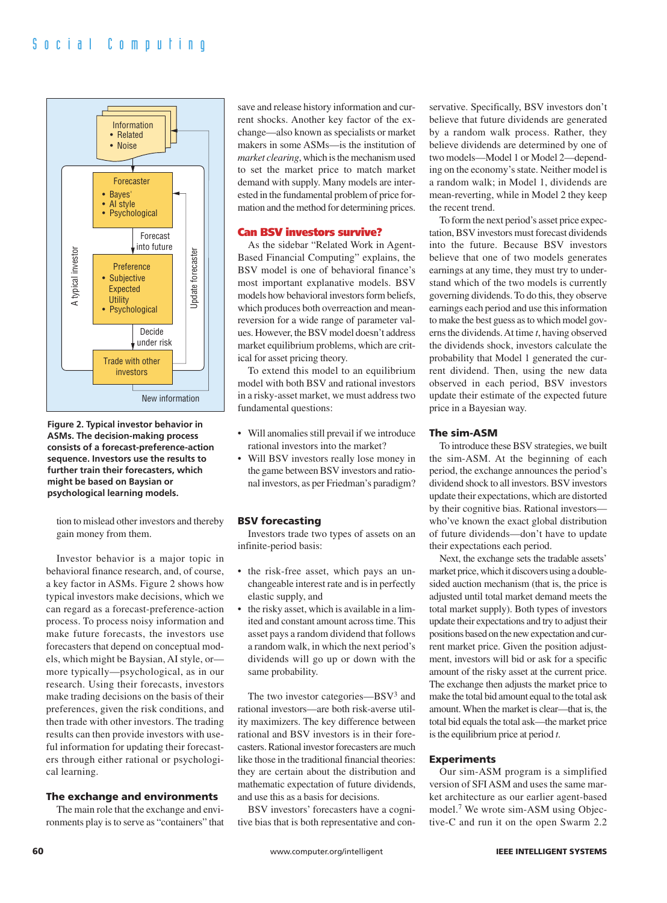



tion to mislead other investors and thereby gain money from them.

Investor behavior is a major topic in behavioral finance research, and, of course, a key factor in ASMs. Figure 2 shows how typical investors make decisions, which we can regard as a forecast-preference-action process. To process noisy information and make future forecasts, the investors use forecasters that depend on conceptual models, which might be Baysian, AI style, or more typically—psychological, as in our research. Using their forecasts, investors make trading decisions on the basis of their preferences, given the risk conditions, and then trade with other investors. The trading results can then provide investors with useful information for updating their forecasters through either rational or psychological learning.

#### **The exchange and environments**

The main role that the exchange and environments play is to serve as "containers" that

save and release history information and current shocks. Another key factor of the exchange—also known as specialists or market makers in some ASMs—is the institution of *market clearing*, which is the mechanism used to set the market price to match market demand with supply. Many models are interested in the fundamental problem of price formation and the method for determining prices.

#### **Can BSV investors survive?**

As the sidebar "Related Work in Agent-Based Financial Computing" explains, the BSV model is one of behavioral finance's most important explanative models. BSV models how behavioral investors form beliefs, which produces both overreaction and meanreversion for a wide range of parameter values. However, the BSV model doesn't address market equilibrium problems, which are critical for asset pricing theory.

To extend this model to an equilibrium model with both BSV and rational investors in a risky-asset market, we must address two fundamental questions:

- Will anomalies still prevail if we introduce rational investors into the market?
- Will BSV investors really lose money in the game between BSV investors and rational investors, as per Friedman's paradigm?

#### **BSV forecasting**

Investors trade two types of assets on an infinite-period basis:

- the risk-free asset, which pays an unchangeable interest rate and is in perfectly elastic supply, and
- the risky asset, which is available in a limited and constant amount across time. This asset pays a random dividend that follows a random walk, in which the next period's dividends will go up or down with the same probability.

The two investor categories—BSV<sup>3</sup> and rational investors—are both risk-averse utility maximizers. The key difference between rational and BSV investors is in their forecasters. Rational investor forecasters are much like those in the traditional financial theories: they are certain about the distribution and mathematic expectation of future dividends, and use this as a basis for decisions.

BSV investors' forecasters have a cognitive bias that is both representative and conservative. Specifically, BSV investors don't believe that future dividends are generated by a random walk process. Rather, they believe dividends are determined by one of two models—Model 1 or Model 2—depending on the economy's state. Neither model is a random walk; in Model 1, dividends are mean-reverting, while in Model 2 they keep the recent trend.

To form the next period's asset price expectation, BSV investors must forecast dividends into the future. Because BSV investors believe that one of two models generates earnings at any time, they must try to understand which of the two models is currently governing dividends. To do this, they observe earnings each period and use this information to make the best guess as to which model governs the dividends. At time *t*, having observed the dividends shock, investors calculate the probability that Model 1 generated the current dividend. Then, using the new data observed in each period, BSV investors update their estimate of the expected future price in a Bayesian way.

#### **The sim-ASM**

To introduce these BSV strategies, we built the sim-ASM. At the beginning of each period, the exchange announces the period's dividend shock to all investors. BSV investors update their expectations, which are distorted by their cognitive bias. Rational investors who've known the exact global distribution of future dividends—don't have to update their expectations each period.

Next, the exchange sets the tradable assets' market price, which it discovers using a doublesided auction mechanism (that is, the price is adjusted until total market demand meets the total market supply). Both types of investors update their expectations and try to adjust their positions based on the new expectation and current market price. Given the position adjustment, investors will bid or ask for a specific amount of the risky asset at the current price. The exchange then adjusts the market price to make the total bid amount equal to the total ask amount. When the market is clear—that is, the total bid equals the total ask—the market price is the equilibrium price at period *t*.

#### **Experiments**

Our sim-ASM program is a simplified version of SFI ASM and uses the same market architecture as our earlier agent-based model.7 We wrote sim-ASM using Objective-C and run it on the open Swarm 2.2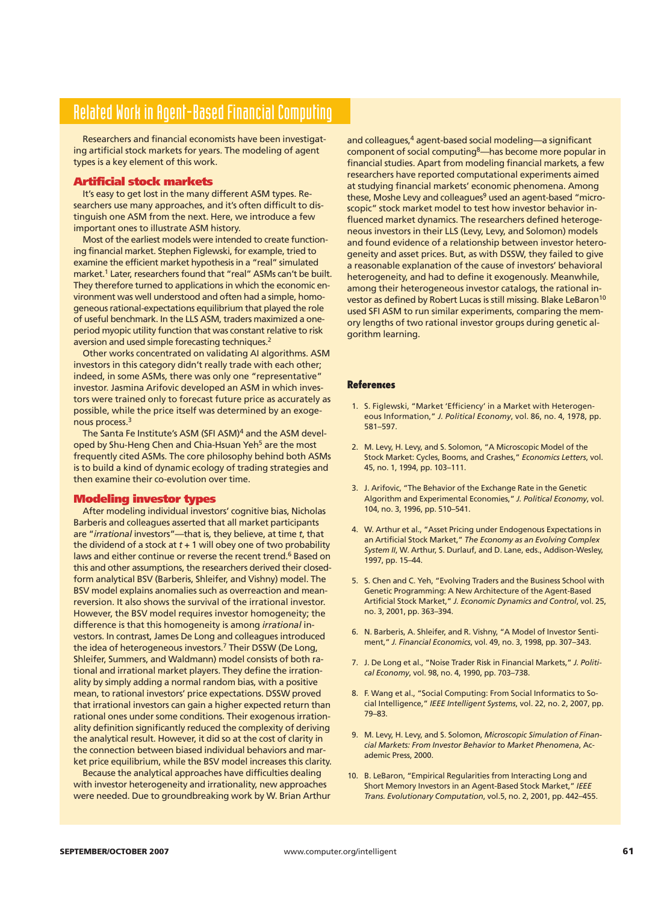## Related Work in Agent-Based Financial Computing

Researchers and financial economists have been investigating artificial stock markets for years. The modeling of agent types is a key element of this work.

#### **Artificial stock markets**

It's easy to get lost in the many different ASM types. Researchers use many approaches, and it's often difficult to distinguish one ASM from the next. Here, we introduce a few important ones to illustrate ASM history.

Most of the earliest models were intended to create functioning financial market. Stephen Figlewski, for example, tried to examine the efficient market hypothesis in a "real" simulated market.<sup>1</sup> Later, researchers found that "real" ASMs can't be built. They therefore turned to applications in which the economic environment was well understood and often had a simple, homogeneous rational-expectations equilibrium that played the role of useful benchmark. In the LLS ASM, traders maximized a oneperiod myopic utility function that was constant relative to risk aversion and used simple forecasting techniques.<sup>2</sup>

Other works concentrated on validating AI algorithms. ASM investors in this category didn't really trade with each other; indeed, in some ASMs, there was only one "representative" investor. Jasmina Arifovic developed an ASM in which investors were trained only to forecast future price as accurately as possible, while the price itself was determined by an exogenous process.3

The Santa Fe Institute's ASM (SFI ASM)<sup>4</sup> and the ASM developed by Shu-Heng Chen and Chia-Hsuan Yeh<sup>5</sup> are the most frequently cited ASMs. The core philosophy behind both ASMs is to build a kind of dynamic ecology of trading strategies and then examine their co-evolution over time.

#### **Modeling investor types**

After modeling individual investors' cognitive bias, Nicholas Barberis and colleagues asserted that all market participants are "*irrational* investors"—that is, they believe, at time *t*, that the dividend of a stock at  $t + 1$  will obey one of two probability laws and either continue or reverse the recent trend.<sup>6</sup> Based on this and other assumptions, the researchers derived their closedform analytical BSV (Barberis, Shleifer, and Vishny) model. The BSV model explains anomalies such as overreaction and meanreversion. It also shows the survival of the irrational investor. However, the BSV model requires investor homogeneity; the difference is that this homogeneity is among *irrational* investors. In contrast, James De Long and colleagues introduced the idea of heterogeneous investors.<sup>7</sup> Their DSSW (De Long, Shleifer, Summers, and Waldmann) model consists of both rational and irrational market players. They define the irrationality by simply adding a normal random bias, with a positive mean, to rational investors' price expectations. DSSW proved that irrational investors can gain a higher expected return than rational ones under some conditions. Their exogenous irrationality definition significantly reduced the complexity of deriving the analytical result. However, it did so at the cost of clarity in the connection between biased individual behaviors and market price equilibrium, while the BSV model increases this clarity.

Because the analytical approaches have difficulties dealing with investor heterogeneity and irrationality, new approaches were needed. Due to groundbreaking work by W. Brian Arthur and colleagues,<sup>4</sup> agent-based social modeling—a significant component of social computing8—has become more popular in financial studies. Apart from modeling financial markets, a few researchers have reported computational experiments aimed at studying financial markets' economic phenomena. Among these, Moshe Levy and colleagues<sup>9</sup> used an agent-based "microscopic" stock market model to test how investor behavior influenced market dynamics. The researchers defined heterogeneous investors in their LLS (Levy, Levy, and Solomon) models and found evidence of a relationship between investor heterogeneity and asset prices. But, as with DSSW, they failed to give a reasonable explanation of the cause of investors' behavioral heterogeneity, and had to define it exogenously. Meanwhile, among their heterogeneous investor catalogs, the rational investor as defined by Robert Lucas is still missing. Blake LeBaron<sup>10</sup> used SFI ASM to run similar experiments, comparing the memory lengths of two rational investor groups during genetic algorithm learning.

#### **References**

- 1. S. Figlewski, "Market 'Efficiency' in a Market with Heterogeneous Information," *J. Political Economy*, vol. 86, no. 4, 1978, pp. 581–597.
- 2. M. Levy, H. Levy, and S. Solomon, "A Microscopic Model of the Stock Market: Cycles, Booms, and Crashes," *Economics Letters*, vol. 45, no. 1, 1994, pp. 103–111.
- 3. J. Arifovic, "The Behavior of the Exchange Rate in the Genetic Algorithm and Experimental Economies," *J. Political Economy*, vol. 104, no. 3, 1996, pp. 510–541.
- 4. W. Arthur et al., "Asset Pricing under Endogenous Expectations in an Artificial Stock Market," *The Economy as an Evolving Complex System II*, W. Arthur, S. Durlauf, and D. Lane, eds., Addison-Wesley, 1997, pp. 15–44.
- 5. S. Chen and C. Yeh, "Evolving Traders and the Business School with Genetic Programming: A New Architecture of the Agent-Based Artificial Stock Market," *J. Economic Dynamics and Control*, vol. 25, no. 3, 2001, pp. 363–394.
- 6. N. Barberis, A. Shleifer, and R. Vishny, "A Model of Investor Sentiment," *J. Financial Economics*, vol. 49, no. 3, 1998, pp. 307–343.
- 7. J. De Long et al., "Noise Trader Risk in Financial Markets," *J. Political Economy*, vol. 98, no. 4, 1990, pp. 703–738.
- 8. F. Wang et al., "Social Computing: From Social Informatics to Social Intelligence," *IEEE Intelligent Systems*, vol. 22, no. 2, 2007, pp. 79–83.
- 9. M. Levy, H. Levy, and S. Solomon, *Microscopic Simulation of Financial Markets: From Investor Behavior to Market Phenomena*, Academic Press, 2000.
- 10. B. LeBaron, "Empirical Regularities from Interacting Long and Short Memory Investors in an Agent-Based Stock Market," *IEEE Trans. Evolutionary Computation*, vol.5, no. 2, 2001, pp. 442–455.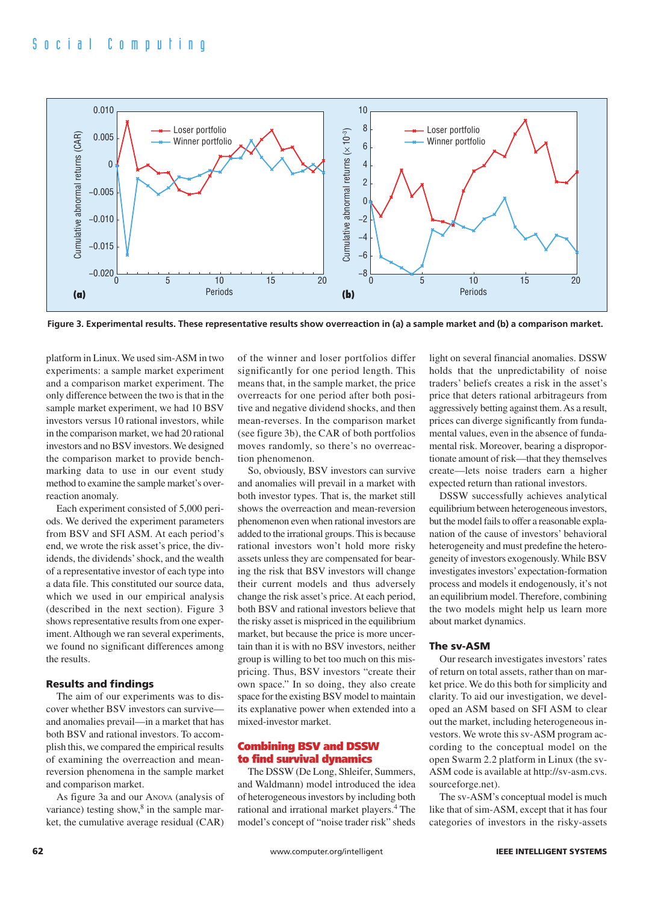

**Figure 3. Experimental results. These representative results show overreaction in (a) a sample market and (b) a comparison market.** 

platform in Linux. We used sim-ASM in two experiments: a sample market experiment and a comparison market experiment. The only difference between the two is that in the sample market experiment, we had 10 BSV investors versus 10 rational investors, while in the comparison market, we had 20 rational investors and no BSV investors. We designed the comparison market to provide benchmarking data to use in our event study method to examine the sample market's overreaction anomaly.

Each experiment consisted of 5,000 periods. We derived the experiment parameters from BSV and SFI ASM. At each period's end, we wrote the risk asset's price, the dividends, the dividends' shock, and the wealth of a representative investor of each type into a data file. This constituted our source data, which we used in our empirical analysis (described in the next section). Figure 3 shows representative results from one experiment. Although we ran several experiments, we found no significant differences among the results.

#### **Results and findings**

The aim of our experiments was to discover whether BSV investors can survive and anomalies prevail—in a market that has both BSV and rational investors. To accomplish this, we compared the empirical results of examining the overreaction and meanreversion phenomena in the sample market and comparison market.

As figure 3a and our ANOVA (analysis of variance) testing show, $8$  in the sample market, the cumulative average residual (CAR) of the winner and loser portfolios differ significantly for one period length. This means that, in the sample market, the price overreacts for one period after both positive and negative dividend shocks, and then mean-reverses. In the comparison market (see figure 3b), the CAR of both portfolios moves randomly, so there's no overreaction phenomenon.

So, obviously, BSV investors can survive and anomalies will prevail in a market with both investor types. That is, the market still shows the overreaction and mean-reversion phenomenon even when rational investors are added to the irrational groups. This is because rational investors won't hold more risky assets unless they are compensated for bearing the risk that BSV investors will change their current models and thus adversely change the risk asset's price. At each period, both BSV and rational investors believe that the risky asset is mispriced in the equilibrium market, but because the price is more uncertain than it is with no BSV investors, neither group is willing to bet too much on this mispricing. Thus, BSV investors "create their own space." In so doing, they also create space for the existing BSV model to maintain its explanative power when extended into a mixed-investor market.

#### **Combining BSV and DSSW to find survival dynamics**

The DSSW (De Long, Shleifer, Summers, and Waldmann) model introduced the idea of heterogeneous investors by including both rational and irrational market players.<sup>4</sup> The model's concept of "noise trader risk" sheds

light on several financial anomalies. DSSW holds that the unpredictability of noise traders' beliefs creates a risk in the asset's price that deters rational arbitrageurs from aggressively betting against them. As a result, prices can diverge significantly from fundamental values, even in the absence of fundamental risk. Moreover, bearing a disproportionate amount of risk—that they themselves create—lets noise traders earn a higher expected return than rational investors.

DSSW successfully achieves analytical equilibrium between heterogeneous investors, but the model fails to offer a reasonable explanation of the cause of investors' behavioral heterogeneity and must predefine the heterogeneity of investors exogenously. While BSV investigates investors'expectation-formation process and models it endogenously, it's not an equilibrium model. Therefore, combining the two models might help us learn more about market dynamics.

#### **The sv-ASM**

Our research investigates investors' rates of return on total assets, rather than on market price. We do this both for simplicity and clarity. To aid our investigation, we developed an ASM based on SFI ASM to clear out the market, including heterogeneous investors. We wrote this sv-ASM program according to the conceptual model on the open Swarm 2.2 platform in Linux (the sv-ASM code is available at http://sv-asm.cvs. sourceforge.net).

The sv-ASM's conceptual model is much like that of sim-ASM, except that it has four categories of investors in the risky-assets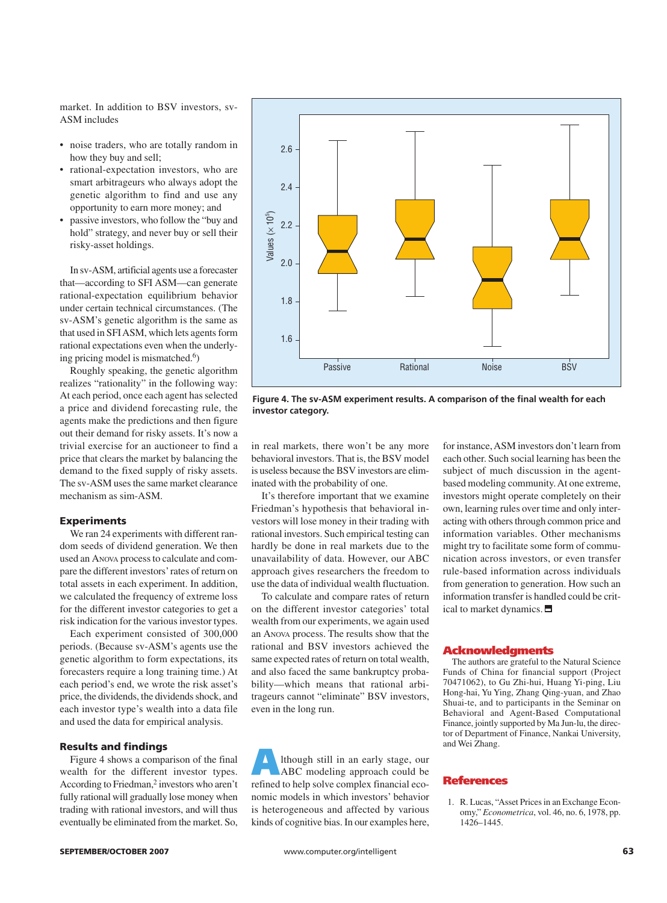market. In addition to BSV investors, sv-ASM includes

- noise traders, who are totally random in how they buy and sell;
- rational-expectation investors, who are smart arbitrageurs who always adopt the genetic algorithm to find and use any opportunity to earn more money; and
- passive investors, who follow the "buy and hold" strategy, and never buy or sell their risky-asset holdings.

In sv-ASM, artificial agents use a forecaster that—according to SFI ASM—can generate rational-expectation equilibrium behavior under certain technical circumstances. (The sv-ASM's genetic algorithm is the same as that used in SFI ASM, which lets agents form rational expectations even when the underlying pricing model is mismatched.6)

Roughly speaking, the genetic algorithm realizes "rationality" in the following way: At each period, once each agent has selected a price and dividend forecasting rule, the agents make the predictions and then figure out their demand for risky assets. It's now a trivial exercise for an auctioneer to find a price that clears the market by balancing the demand to the fixed supply of risky assets. The sv-ASM uses the same market clearance mechanism as sim-ASM.

#### **Experiments**

We ran 24 experiments with different random seeds of dividend generation. We then used an ANOVA process to calculate and compare the different investors'rates of return on total assets in each experiment. In addition, we calculated the frequency of extreme loss for the different investor categories to get a risk indication for the various investor types.

Each experiment consisted of 300,000 periods. (Because sv-ASM's agents use the genetic algorithm to form expectations, its forecasters require a long training time.) At each period's end, we wrote the risk asset's price, the dividends, the dividends shock, and each investor type's wealth into a data file and used the data for empirical analysis.

#### **Results and findings**

Figure 4 shows a comparison of the final wealth for the different investor types. According to Friedman,<sup>2</sup> investors who aren't fully rational will gradually lose money when trading with rational investors, and will thus eventually be eliminated from the market. So,



**Figure 4. The sv-ASM experiment results. A comparison of the final wealth for each investor category.**

in real markets, there won't be any more behavioral investors. That is, the BSV model is useless because the BSV investors are eliminated with the probability of one.

It's therefore important that we examine Friedman's hypothesis that behavioral investors will lose money in their trading with rational investors. Such empirical testing can hardly be done in real markets due to the unavailability of data. However, our ABC approach gives researchers the freedom to use the data of individual wealth fluctuation.

To calculate and compare rates of return on the different investor categories' total wealth from our experiments, we again used an ANOVA process. The results show that the rational and BSV investors achieved the same expected rates of return on total wealth, and also faced the same bankruptcy probability—which means that rational arbitrageurs cannot "eliminate" BSV investors, even in the long run.

**A**lthough still in an early stage, our ABC modeling approach could be refined to help solve complex financial economic models in which investors' behavior is heterogeneous and affected by various kinds of cognitive bias. In our examples here, for instance, ASM investors don't learn from each other. Such social learning has been the subject of much discussion in the agentbased modeling community. At one extreme, investors might operate completely on their own, learning rules over time and only interacting with others through common price and information variables. Other mechanisms might try to facilitate some form of communication across investors, or even transfer rule-based information across individuals from generation to generation. How such an information transfer is handled could be critical to market dynamics.

#### **Acknowledgments**

The authors are grateful to the Natural Science Funds of China for financial support (Project 70471062), to Gu Zhi-hui, Huang Yi-ping, Liu Hong-hai, Yu Ying, Zhang Qing-yuan, and Zhao Shuai-te, and to participants in the Seminar on Behavioral and Agent-Based Computational Finance, jointly supported by Ma Jun-lu, the director of Department of Finance, Nankai University, and Wei Zhang.

#### **References**

1. R. Lucas, "Asset Prices in an Exchange Economy," *Econometrica*, vol. 46, no. 6, 1978, pp. 1426–1445.